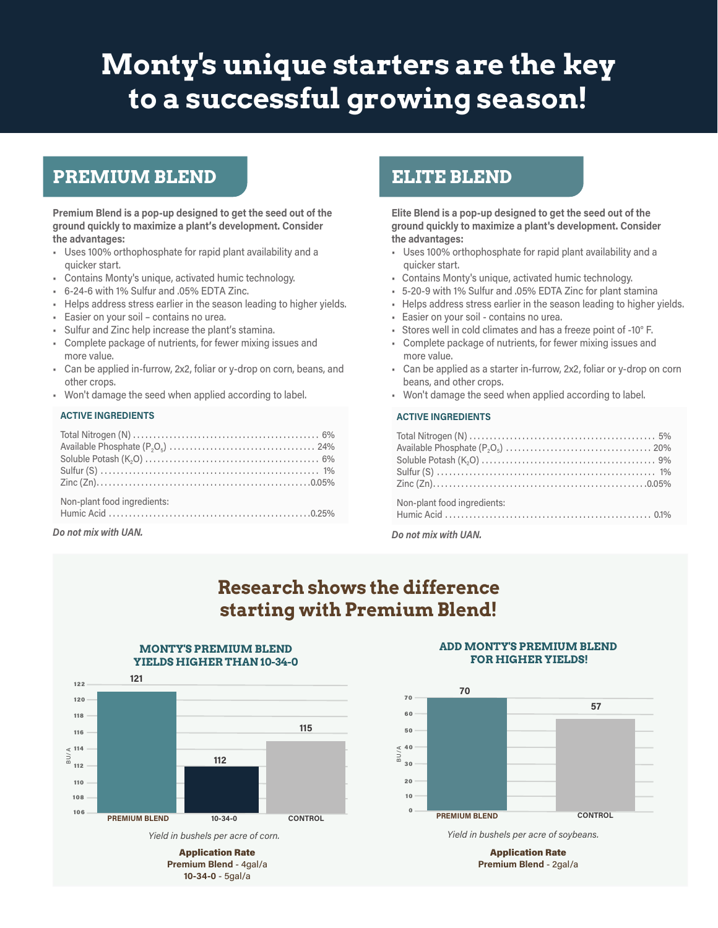# **Monty's unique starters are the key to a successful growing season!**

### **PREMIUM BLEND**

**Premium Blend is a pop-up designed to get the seed out of the ground quickly to maximize a plant's development. Consider the advantages:** 

- Uses 100% orthophosphate for rapid plant availability and a quicker start.
- Contains Monty's unique, activated humic technology.
- 6-24-6 with 1% Sulfur and .05% EDTA Zinc.
- Helps address stress earlier in the season leading to higher yields.
- Easier on your soil contains no urea.
- Sulfur and Zinc help increase the plant's stamina.
- Complete package of nutrients, for fewer mixing issues and more value.
- Can be applied in-furrow, 2x2, foliar or y-drop on corn, beans, and other crops.
- Won't damage the seed when applied according to label.

#### **ACTIVE INGREDIENTS**

| Non-plant food ingredients: |  |
|-----------------------------|--|
|                             |  |

*Do not mix with UAN. Do not mix with UAN.*

### **ELITE BLEND**

**Elite Blend is a pop-up designed to get the seed out of the ground quickly to maximize a plant's development. Consider the advantages:**

- Uses 100% orthophosphate for rapid plant availability and a quicker start.
- Contains Monty's unique, activated humic technology.
- 5-20-9 with 1% Sulfur and .05% EDTA Zinc for plant stamina
- Helps address stress earlier in the season leading to higher yields.
- Easier on your soil contains no urea.
- Stores well in cold climates and has a freeze point of -10° F.
- Complete package of nutrients, for fewer mixing issues and more value.
- Can be applied as a starter in-furrow, 2x2, foliar or y-drop on corn beans, and other crops.
- Won't damage the seed when applied according to label.

#### **ACTIVE INGREDIENTS**

| Non-plant food ingredients: |
|-----------------------------|
|                             |

## **Research shows the difference starting with Premium Blend!**



**MONTY'S PREMIUM BLEND** 

#### Application Rate **Premium Blend** - 4gal/a **10-34-0** - 5gal/a

#### **ADD MONTY'S PREMIUM BLEND FOR HIGHER YIELDS!**



*Yield in bushels per acre of soybeans.*

Application Rate **Premium Blend** - 2gal/a